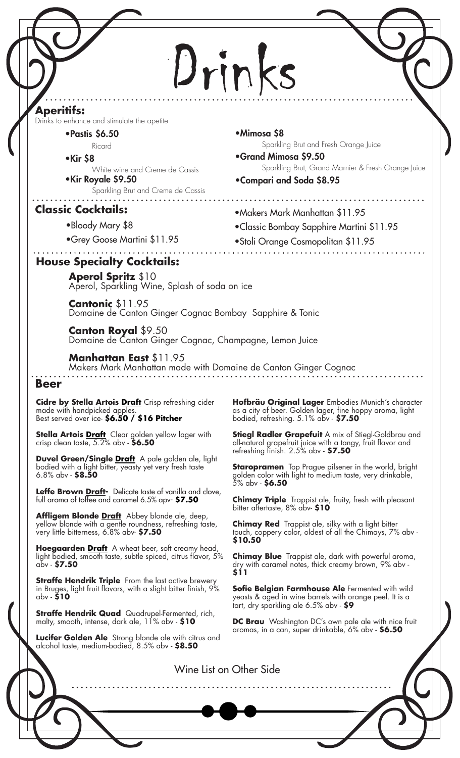